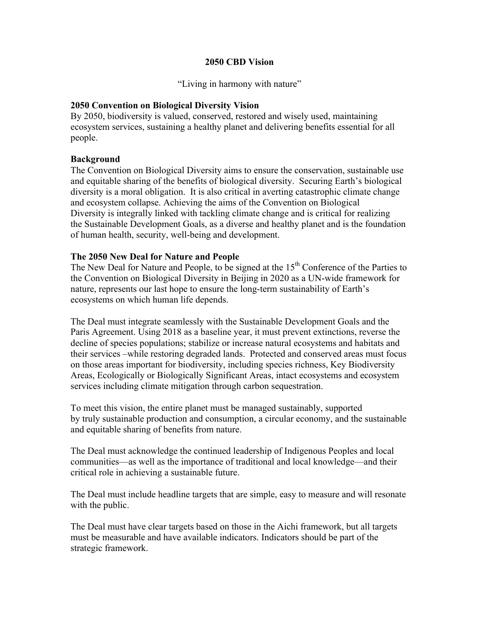#### **2050 CBD Vision**

"Living in harmony with nature"

# **2050 Convention on Biological Diversity Vision**

By 2050, biodiversity is valued, conserved, restored and wisely used, maintaining ecosystem services, sustaining a healthy planet and delivering benefits essential for all people.

### **Background**

The Convention on Biological Diversity aims to ensure the conservation, sustainable use and equitable sharing of the benefits of biological diversity. Securing Earth's biological diversity is a moral obligation. It is also critical in averting catastrophic climate change and ecosystem collapse. Achieving the aims of the Convention on Biological Diversity is integrally linked with tackling climate change and is critical for realizing the Sustainable Development Goals, as a diverse and healthy planet and is the foundation of human health, security, well-being and development.

#### **The 2050 New Deal for Nature and People**

The New Deal for Nature and People, to be signed at the  $15<sup>th</sup>$  Conference of the Parties to the Convention on Biological Diversity in Beijing in 2020 as a UN-wide framework for nature, represents our last hope to ensure the long-term sustainability of Earth's ecosystems on which human life depends.

The Deal must integrate seamlessly with the Sustainable Development Goals and the Paris Agreement. Using 2018 as a baseline year, it must prevent extinctions, reverse the decline of species populations; stabilize or increase natural ecosystems and habitats and their services –while restoring degraded lands. Protected and conserved areas must focus on those areas important for biodiversity, including species richness, Key Biodiversity Areas, Ecologically or Biologically Significant Areas, intact ecosystems and ecosystem services including climate mitigation through carbon sequestration.

To meet this vision, the entire planet must be managed sustainably, supported by truly sustainable production and consumption, a circular economy, and the sustainable and equitable sharing of benefits from nature.

The Deal must acknowledge the continued leadership of Indigenous Peoples and local communities—as well as the importance of traditional and local knowledge—and their critical role in achieving a sustainable future.

The Deal must include headline targets that are simple, easy to measure and will resonate with the public.

The Deal must have clear targets based on those in the Aichi framework, but all targets must be measurable and have available indicators. Indicators should be part of the strategic framework.